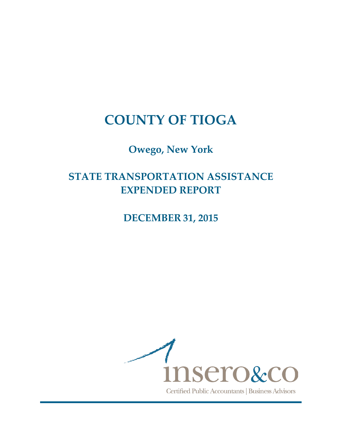**Owego, New York** 

# **STATE TRANSPORTATION ASSISTANCE EXPENDED REPORT**

**DECEMBER 31, 2015**

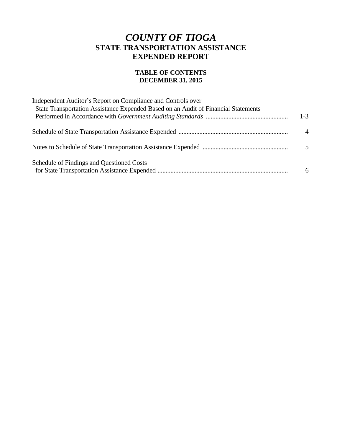# *COUNTY OF TIOGA* **STATE TRANSPORTATION ASSISTANCE EXPENDED REPORT**

# **TABLE OF CONTENTS DECEMBER 31, 2015**

| Independent Auditor's Report on Compliance and Controls over<br>State Transportation Assistance Expended Based on an Audit of Financial Statements |                |
|----------------------------------------------------------------------------------------------------------------------------------------------------|----------------|
|                                                                                                                                                    | $1 - 3$        |
|                                                                                                                                                    | $\overline{A}$ |
|                                                                                                                                                    | 5              |
| Schedule of Findings and Questioned Costs                                                                                                          | 6              |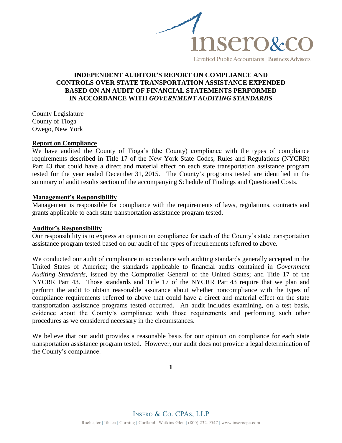

Certified Public Accountants | Business Advisors

### **INDEPENDENT AUDITOR'S REPORT ON COMPLIANCE AND CONTROLS OVER STATE TRANSPORTATION ASSISTANCE EXPENDED BASED ON AN AUDIT OF FINANCIAL STATEMENTS PERFORMED IN ACCORDANCE WITH** *GOVERNMENT AUDITING STANDARDS*

County Legislature County of Tioga Owego, New York

### **Report on Compliance**

We have audited the County of Tioga's (the County) compliance with the types of compliance requirements described in Title 17 of the New York State Codes, Rules and Regulations (NYCRR) Part 43 that could have a direct and material effect on each state transportation assistance program tested for the year ended December 31, 2015. The County's programs tested are identified in the summary of audit results section of the accompanying Schedule of Findings and Questioned Costs.

### **Management's Responsibility**

Management is responsible for compliance with the requirements of laws, regulations, contracts and grants applicable to each state transportation assistance program tested.

#### **Auditor's Responsibility**

Our responsibility is to express an opinion on compliance for each of the County's state transportation assistance program tested based on our audit of the types of requirements referred to above.

We conducted our audit of compliance in accordance with auditing standards generally accepted in the United States of America; the standards applicable to financial audits contained in *Government Auditing Standards*, issued by the Comptroller General of the United States; and Title 17 of the NYCRR Part 43. Those standards and Title 17 of the NYCRR Part 43 require that we plan and perform the audit to obtain reasonable assurance about whether noncompliance with the types of compliance requirements referred to above that could have a direct and material effect on the state transportation assistance programs tested occurred. An audit includes examining, on a test basis, evidence about the County's compliance with those requirements and performing such other procedures as we considered necessary in the circumstances.

We believe that our audit provides a reasonable basis for our opinion on compliance for each state transportation assistance program tested. However, our audit does not provide a legal determination of the County's compliance.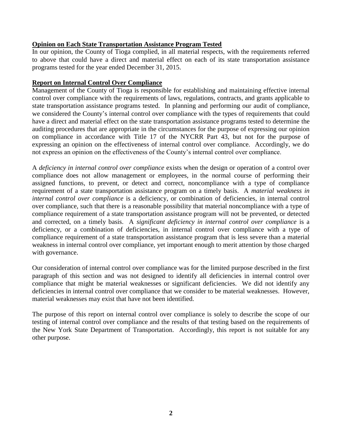### **Opinion on Each State Transportation Assistance Program Tested**

In our opinion, the County of Tioga complied, in all material respects, with the requirements referred to above that could have a direct and material effect on each of its state transportation assistance programs tested for the year ended December 31, 2015.

### **Report on Internal Control Over Compliance**

Management of the County of Tioga is responsible for establishing and maintaining effective internal control over compliance with the requirements of laws, regulations, contracts, and grants applicable to state transportation assistance programs tested. In planning and performing our audit of compliance, we considered the County's internal control over compliance with the types of requirements that could have a direct and material effect on the state transportation assistance programs tested to determine the auditing procedures that are appropriate in the circumstances for the purpose of expressing our opinion on compliance in accordance with Title 17 of the NYCRR Part 43, but not for the purpose of expressing an opinion on the effectiveness of internal control over compliance. Accordingly, we do not express an opinion on the effectiveness of the County's internal control over compliance.

A *deficiency in internal control over compliance* exists when the design or operation of a control over compliance does not allow management or employees, in the normal course of performing their assigned functions, to prevent, or detect and correct, noncompliance with a type of compliance requirement of a state transportation assistance program on a timely basis. A *material weakness in internal control over compliance* is a deficiency, or combination of deficiencies, in internal control over compliance, such that there is a reasonable possibility that material noncompliance with a type of compliance requirement of a state transportation assistance program will not be prevented, or detected and corrected, on a timely basis. A *significant deficiency in internal control over compliance* is a deficiency, or a combination of deficiencies, in internal control over compliance with a type of compliance requirement of a state transportation assistance program that is less severe than a material weakness in internal control over compliance, yet important enough to merit attention by those charged with governance.

Our consideration of internal control over compliance was for the limited purpose described in the first paragraph of this section and was not designed to identify all deficiencies in internal control over compliance that might be material weaknesses or significant deficiencies. We did not identify any deficiencies in internal control over compliance that we consider to be material weaknesses. However, material weaknesses may exist that have not been identified.

The purpose of this report on internal control over compliance is solely to describe the scope of our testing of internal control over compliance and the results of that testing based on the requirements of the New York State Department of Transportation. Accordingly, this report is not suitable for any other purpose.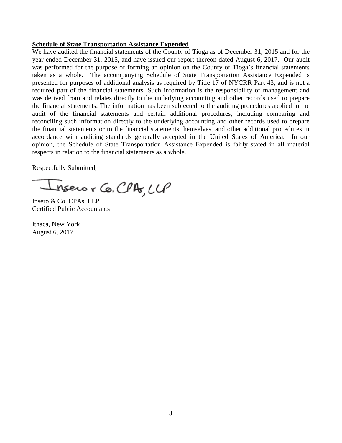### **Schedule of State Transportation Assistance Expended**

We have audited the financial statements of the County of Tioga as of December 31, 2015 and for the year ended December 31, 2015, and have issued our report thereon dated August 6, 2017. Our audit was performed for the purpose of forming an opinion on the County of Tioga's financial statements taken as a whole. The accompanying Schedule of State Transportation Assistance Expended is presented for purposes of additional analysis as required by Title 17 of NYCRR Part 43, and is not a required part of the financial statements. Such information is the responsibility of management and was derived from and relates directly to the underlying accounting and other records used to prepare the financial statements. The information has been subjected to the auditing procedures applied in the audit of the financial statements and certain additional procedures, including comparing and reconciling such information directly to the underlying accounting and other records used to prepare the financial statements or to the financial statements themselves, and other additional procedures in accordance with auditing standards generally accepted in the United States of America. In our opinion, the Schedule of State Transportation Assistance Expended is fairly stated in all material respects in relation to the financial statements as a whole.

Respectfully Submitted,

nsero r Co. CPA, LLP

Insero & Co. CPAs, LLP Certified Public Accountants

Ithaca, New York August 6, 2017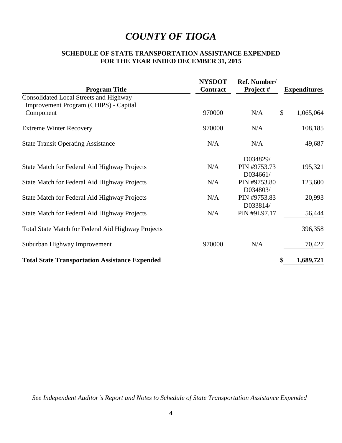## **SCHEDULE OF STATE TRANSPORTATION ASSISTANCE EXPENDED FOR THE YEAR ENDED DECEMBER 31, 2015**

| <b>Program Title</b>                                                                   | <b>NYSDOT</b><br><b>Contract</b> | Ref. Number/<br>Project # | <b>Expenditures</b> |        |
|----------------------------------------------------------------------------------------|----------------------------------|---------------------------|---------------------|--------|
| <b>Consolidated Local Streets and Highway</b><br>Improvement Program (CHIPS) - Capital |                                  |                           |                     |        |
| Component                                                                              | 970000                           | N/A                       | \$<br>1,065,064     |        |
| <b>Extreme Winter Recovery</b>                                                         | 970000                           | N/A                       | 108,185             |        |
| <b>State Transit Operating Assistance</b>                                              | N/A                              | N/A                       |                     | 49,687 |
|                                                                                        |                                  | D034829/                  |                     |        |
| State Match for Federal Aid Highway Projects                                           | N/A                              | PIN #9753.73              | 195,321             |        |
|                                                                                        |                                  | D034661/                  |                     |        |
| State Match for Federal Aid Highway Projects                                           | N/A                              | PIN #9753.80<br>D034803/  | 123,600             |        |
| State Match for Federal Aid Highway Projects                                           | N/A                              | PIN #9753.83              |                     | 20,993 |
|                                                                                        |                                  | D033814/                  |                     |        |
| State Match for Federal Aid Highway Projects                                           | N/A                              | PIN #9L97.17              |                     | 56,444 |
| Total State Match for Federal Aid Highway Projects                                     |                                  |                           | 396,358             |        |
| Suburban Highway Improvement                                                           | 970000                           | N/A                       |                     | 70,427 |
| <b>Total State Transportation Assistance Expended</b>                                  |                                  |                           | 1,689,721<br>\$     |        |

*See Independent Auditor's Report and Notes to Schedule of State Transportation Assistance Expended*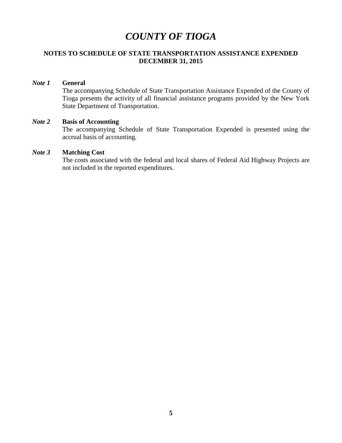## **NOTES TO SCHEDULE OF STATE TRANSPORTATION ASSISTANCE EXPENDED DECEMBER 31, 2015**

### *Note 1* **General**

The accompanying Schedule of State Transportation Assistance Expended of the County of Tioga presents the activity of all financial assistance programs provided by the New York State Department of Transportation.

### *Note 2* **Basis of Accounting**

The accompanying Schedule of State Transportation Expended is presented using the accrual basis of accounting.

### *Note 3* **Matching Cost**

The costs associated with the federal and local shares of Federal Aid Highway Projects are not included in the reported expenditures.